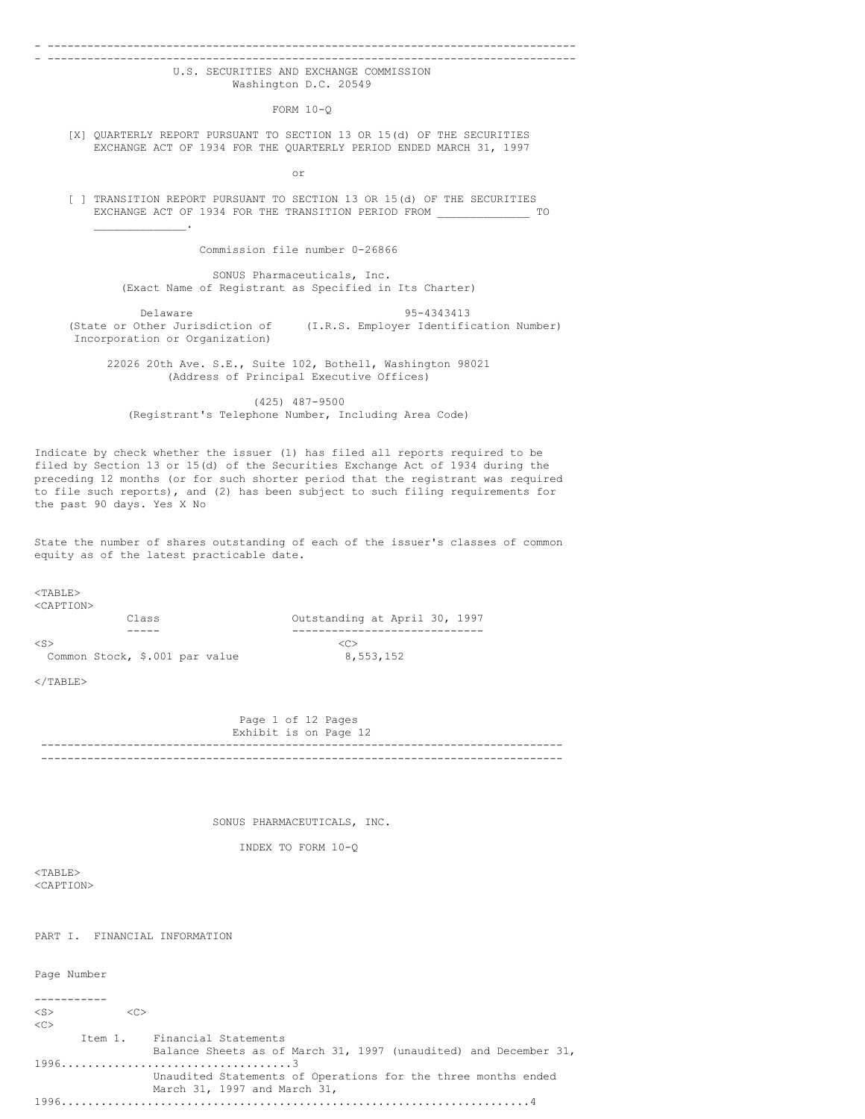#### - -------------------------------------------------------------------------------- - --------------------------------------------------------------------------------

## U.S. SECURITIES AND EXCHANGE COMMISSION Washington D.C. 20549

FORM 10-Q

[X] QUARTERLY REPORT PURSUANT TO SECTION 13 OR 15(d) OF THE SECURITIES EXCHANGE ACT OF 1934 FOR THE QUARTERLY PERIOD ENDED MARCH 31, 1997

or

[ ] TRANSITION REPORT PURSUANT TO SECTION 13 OR 15(d) OF THE SECURITIES EXCHANGE ACT OF 1934 FOR THE TRANSITION PERIOD FROM \_\_\_\_\_\_\_\_\_\_\_\_\_\_ TO  $\mathcal{L}=\mathcal{L}=\mathcal{L}=\mathcal{L}=\mathcal{L}=\mathcal{L}$ 

Commission file number 0-26866

SONUS Pharmaceuticals, Inc. (Exact Name of Registrant as Specified in Its Charter)

Delaware 95-4343413 (State or Other Jurisdiction of (I.R.S. Employer Identification Number) Incorporation or Organization)

22026 20th Ave. S.E., Suite 102, Bothell, Washington 98021 (Address of Principal Executive Offices)

(425) 487-9500 (Registrant's Telephone Number, Including Area Code)

Indicate by check whether the issuer (1) has filed all reports required to be filed by Section 13 or 15(d) of the Securities Exchange Act of 1934 during the preceding 12 months (or for such shorter period that the registrant was required to file such reports), and (2) has been subject to such filing requirements for the past 90 days. Yes X No

State the number of shares outstanding of each of the issuer's classes of common equity as of the latest practicable date.

<TABLE>

| <caption></caption>            |                               |
|--------------------------------|-------------------------------|
| Class                          | Outstanding at April 30, 1997 |
|                                |                               |
| $<$ S $>$                      | <冖>                           |
| Common Stock, \$.001 par value | 8,553,152                     |

 $<$ /TABLE>

Page 1 of 12 Pages Exhibit is on Page 12 ------------------------------------------------------------------------------- -------------------------------------------------------------------------------

SONUS PHARMACEUTICALS, INC.

INDEX TO FORM 10-Q

<TABLE> <CAPTION>

PART I. FINANCIAL INFORMATION

Page Number

-----------  $\langle S \rangle$   $\langle C \rangle$  $<$ Item 1. Financial Statements Balance Sheets as of March 31, 1997 (unaudited) and December 31, 1996...................................3 Unaudited Statements of Operations for the three months ended March 31, 1997 and March 31, 1996.......................................................................4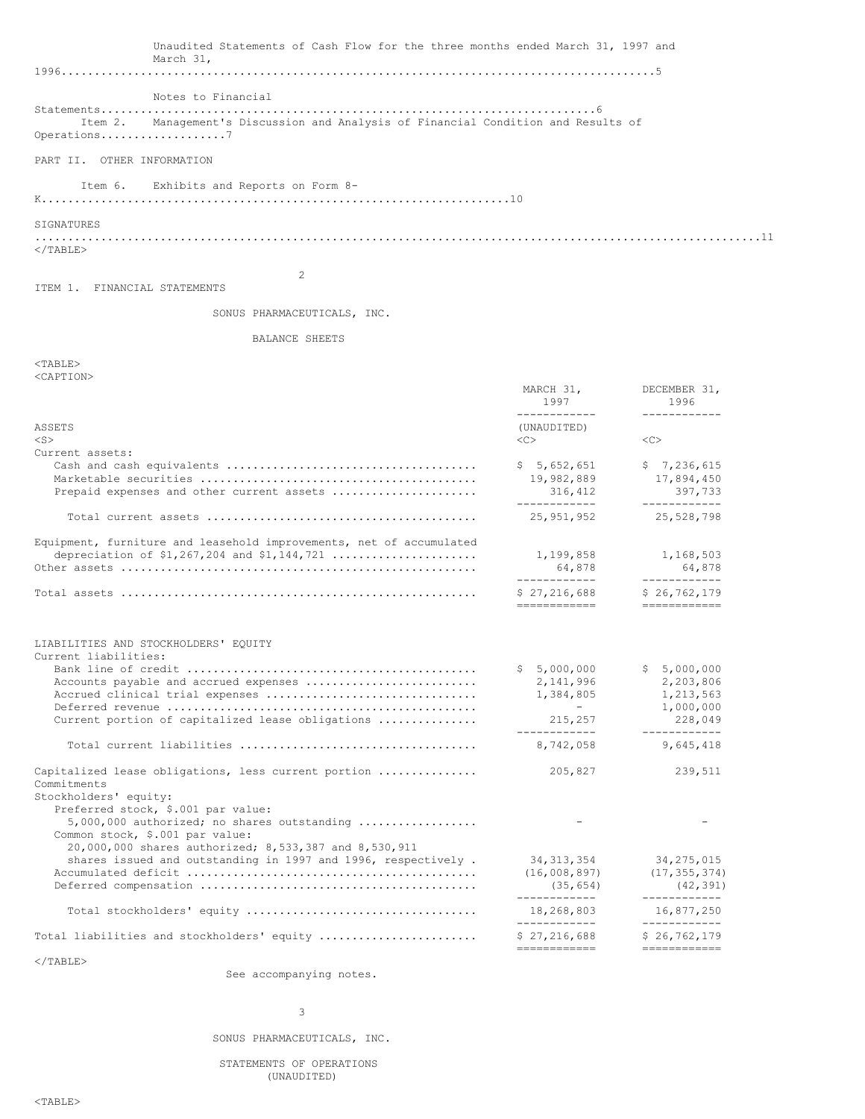| Unaudited Statements of Cash Flow for the three months ended March 31, 1997 and<br>March 31,                                                    |                                                           |                                                             |
|-------------------------------------------------------------------------------------------------------------------------------------------------|-----------------------------------------------------------|-------------------------------------------------------------|
|                                                                                                                                                 |                                                           |                                                             |
| Notes to Financial                                                                                                                              |                                                           |                                                             |
| Management's Discussion and Analysis of Financial Condition and Results of<br>Item 2.<br>Operations7                                            |                                                           |                                                             |
| PART II. OTHER INFORMATION                                                                                                                      |                                                           |                                                             |
| Exhibits and Reports on Form 8-<br>Item 6.                                                                                                      |                                                           |                                                             |
|                                                                                                                                                 |                                                           |                                                             |
| SIGNATURES                                                                                                                                      |                                                           |                                                             |
| $\langle$ /TABLE>                                                                                                                               |                                                           |                                                             |
| 2<br>ITEM 1. FINANCIAL STATEMENTS                                                                                                               |                                                           |                                                             |
| SONUS PHARMACEUTICALS, INC.                                                                                                                     |                                                           |                                                             |
| BALANCE SHEETS                                                                                                                                  |                                                           |                                                             |
| $<$ TABLE><br><caption></caption>                                                                                                               |                                                           |                                                             |
|                                                                                                                                                 | MARCH 31,<br>1997                                         | DECEMBER 31,<br>1996                                        |
| ASSETS<br>$<$ S $>$                                                                                                                             | ------------<br>(UNAUDITED)<br>$<<$ $<$ $>$               | ------------<br><<                                          |
| Current assets:                                                                                                                                 | \$5,652,651                                               | \$7,236,615                                                 |
| Prepaid expenses and other current assets                                                                                                       | 19,982,889<br>316,412                                     | 17,894,450<br>397,733                                       |
|                                                                                                                                                 | ------------<br>25,951,952                                | ------------<br>25,528,798                                  |
| Equipment, furniture and leasehold improvements, net of accumulated<br>depreciation of $$1,267,204$ and $$1,144,721$                            | 1,199,858                                                 | 1,168,503                                                   |
|                                                                                                                                                 | 64,878<br>____________                                    | 64,878<br>------------                                      |
|                                                                                                                                                 | \$27,216,688<br>-------------                             | \$26, 762, 179<br>=============                             |
| LIABILITIES AND STOCKHOLDERS' EQUITY                                                                                                            |                                                           |                                                             |
| Current liabilities:<br>Accounts payable and accrued expenses                                                                                   | \$5,000,000<br>2,141,996                                  | \$5,000,000<br>2,203,806                                    |
| Accrued clinical trial expenses                                                                                                                 | 1,384,805<br>$-$                                          | 1,213,563<br>1,000,000                                      |
| Current portion of capitalized lease obligations                                                                                                | 215,257                                                   | 228,049<br>------------                                     |
|                                                                                                                                                 | 8,742,058                                                 | 9,645,418                                                   |
| Capitalized lease obligations, less current portion<br>Commitments                                                                              | 205,827                                                   | 239,511                                                     |
| Stockholders' equity:<br>Preferred stock, \$.001 par value:<br>$5,000,000$ authorized; no shares outstanding<br>Common stock, \$.001 par value: |                                                           |                                                             |
| 20,000,000 shares authorized; 8,533,387 and 8,530,911<br>shares issued and outstanding in 1997 and 1996, respectively.                          | 34, 313, 354<br>(16,008,897)<br>(35, 654)<br>------------ | 34, 275, 015<br>(17, 355, 374)<br>(42, 391)<br>------------ |
|                                                                                                                                                 | 18,268,803<br>------------                                | 16,877,250<br>------------                                  |
| Total liabilities and stockholders' equity                                                                                                      | \$27,216,688<br>============                              | \$26, 762, 179<br>============                              |
| $\langle$ /TABLE>                                                                                                                               |                                                           |                                                             |

See accompanying notes.

# 3

SONUS PHARMACEUTICALS, INC.

STATEMENTS OF OPERATIONS (UNAUDITED)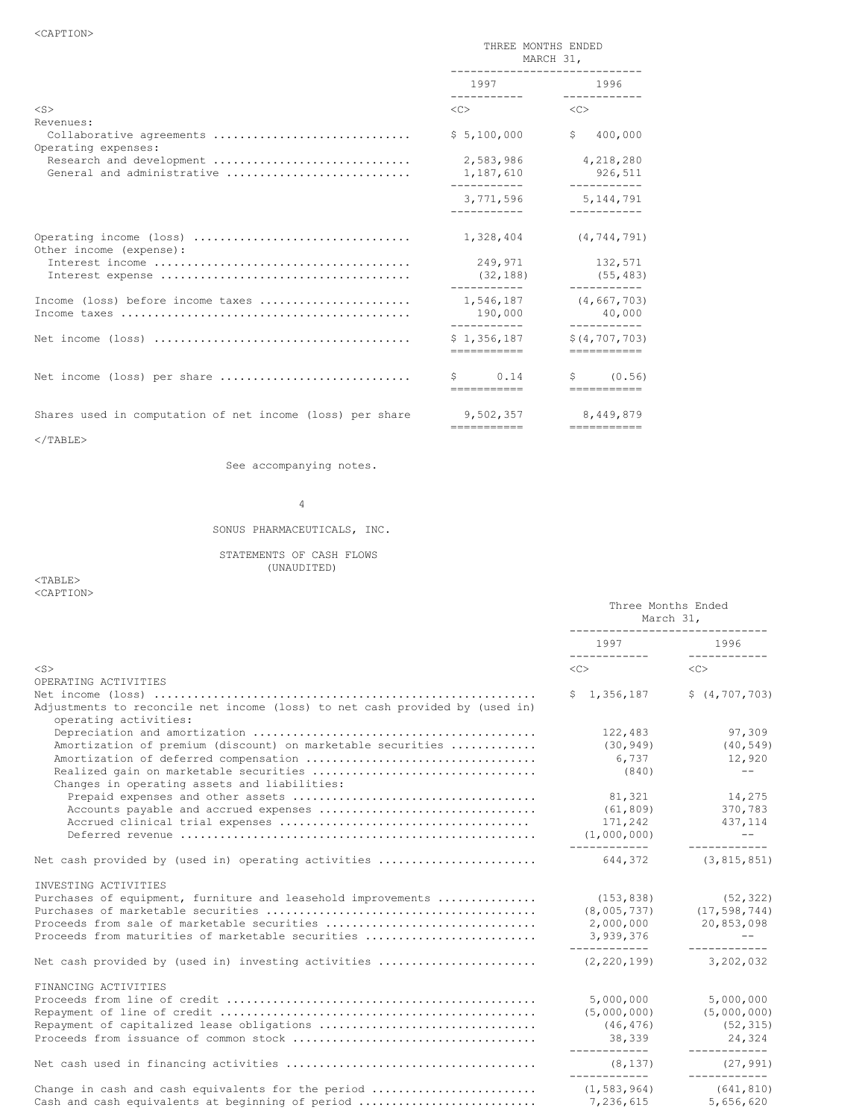|                                                           | THREE MONTHS ENDED<br>MARCH 31,<br>------------------------------ |                                                |
|-----------------------------------------------------------|-------------------------------------------------------------------|------------------------------------------------|
|                                                           | 1997                                                              | 1996                                           |
| $<$ S $>$<br>Revenues:                                    | $\langle$ C> $\sim$                                               | < <c></c>                                      |
| Collaborative agreements<br>Operating expenses:           | \$5,100,000                                                       | \$<br>400,000                                  |
| Research and development<br>General and administrative    | 2,583,986<br>1,187,610                                            | 4,218,280<br>926,511                           |
|                                                           | 3,771,596<br>-----------                                          | 5,144,791                                      |
| Other income (expense):                                   | 1,328,404                                                         | (4, 744, 791)                                  |
|                                                           | 249,971<br>(32, 188)<br>___________                               | 132,571<br>(55, 483)<br>___________            |
| Income (loss) before income taxes                         | 190,000<br>-----------                                            | 1,546,187 (4,667,703)<br>40,000<br>----------- |
|                                                           | \$1,356,187<br>------------                                       | \$(4, 707, 703)<br>------------                |
| Net income (loss) per share                               | $\mathsf{S}$ 0.14<br>------------                                 | $\text{S}$ (0.56)<br>============              |
| Shares used in computation of net income (loss) per share | ------------                                                      | 9,502,357 8,449,879<br>------------            |

 $<$ /TABLE>

See accompanying notes.

4

# SONUS PHARMACEUTICALS, INC.

STATEMENTS OF CASH FLOWS

(UNAUDITED)

 $<$ TABLE> <CAPTION>

|                                                                                                                                                                                          | Three Months Ended<br>March 31,<br>------------------------------- |                                                                       |
|------------------------------------------------------------------------------------------------------------------------------------------------------------------------------------------|--------------------------------------------------------------------|-----------------------------------------------------------------------|
|                                                                                                                                                                                          | 1997<br>____________                                               | 1996                                                                  |
| $<$ S $>$<br>OPERATING ACTIVITIES                                                                                                                                                        | $\langle C \rangle$                                                | < <sub></sub>                                                         |
| Adjustments to reconcile net income (loss) to net cash provided by (used in)<br>operating activities:                                                                                    | \$1,356,187                                                        | \$ (4, 707, 703)                                                      |
| Amortization of premium (discount) on marketable securities<br>Changes in operating assets and liabilities:                                                                              | 122,483<br>(30, 949)<br>6,737<br>(840)                             | 97,309<br>(40, 549)<br>12,920<br>$---$                                |
|                                                                                                                                                                                          | 81,321<br>(61, 809)<br>171,242<br>(1,000,000)                      | 14,275<br>370,783<br>437, 114<br>$\sim$ $ -$                          |
| Net cash provided by (used in) operating activities                                                                                                                                      |                                                                    | 644, 372 (3, 815, 851)                                                |
| INVESTING ACTIVITIES<br>Purchases of equipment, furniture and leasehold improvements<br>Proceeds from sale of marketable securities<br>Proceeds from maturities of marketable securities | (153, 838)<br>2,000,000<br>3,939,376                               | (52, 322)<br>$(8,005,737)$ $(17,598,744)$<br>20,853,098<br>$\sim$ $-$ |
| Net cash provided by (used in) investing activities                                                                                                                                      | -------------<br>(2, 220, 199)                                     | ------------<br>3,202,032                                             |
| FINANCING ACTIVITIES                                                                                                                                                                     | 5,000,000<br>(5,000,000)<br>(46, 476)<br>38,339<br>-------------   | 5,000,000<br>(5,000,000)<br>(52, 315)<br>24,324<br>____________       |
|                                                                                                                                                                                          | (8, 137)<br>_____________                                          | (27, 991)<br>------------                                             |
| Change in cash and cash equivalents for the period<br>Cash and cash equivalents at beginning of period                                                                                   | (1, 583, 964)<br>7,236,615                                         | (641, 810)<br>5,656,620                                               |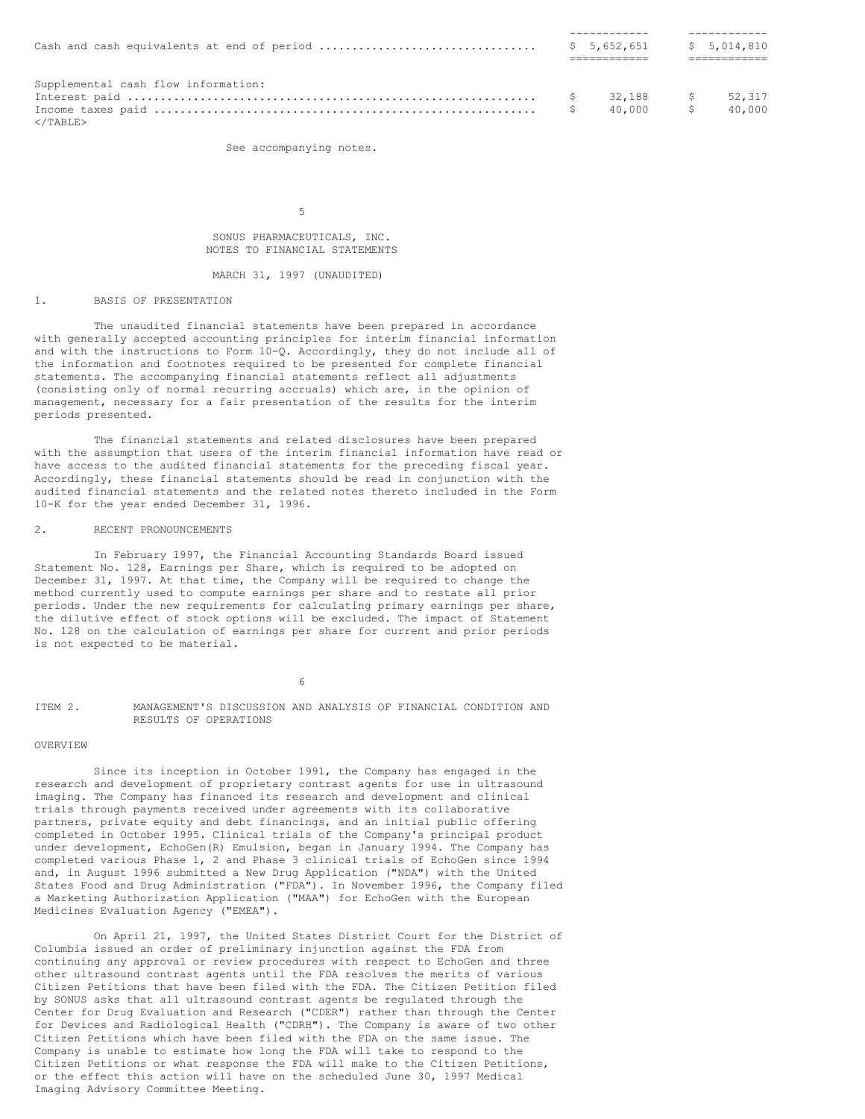| Supplemental cash flow information: |           |        |
|-------------------------------------|-----------|--------|
|                                     |           |        |
| $\langle$ /TABLE>                   | 40.000 \$ | 40.000 |

See accompanying notes.

5

SONUS PHARMACEUTICALS, INC. NOTES TO FINANCIAL STATEMENTS

MARCH 31, 1997 (UNAUDITED)

### 1. BASIS OF PRESENTATION

The unaudited financial statements have been prepared in accordance with generally accepted accounting principles for interim financial information and with the instructions to Form 10-Q. Accordingly, they do not include all of the information and footnotes required to be presented for complete financial statements. The accompanying financial statements reflect all adjustments (consisting only of normal recurring accruals) which are, in the opinion of management, necessary for a fair presentation of the results for the interim periods presented.

The financial statements and related disclosures have been prepared with the assumption that users of the interim financial information have read or have access to the audited financial statements for the preceding fiscal year. Accordingly, these financial statements should be read in conjunction with the audited financial statements and the related notes thereto included in the Form 10-K for the year ended December 31, 1996.

### 2. RECENT PRONOUNCEMENTS

In February 1997, the Financial Accounting Standards Board issued Statement No. 128, Earnings per Share, which is required to be adopted on December 31, 1997. At that time, the Company will be required to change the method currently used to compute earnings per share and to restate all prior periods. Under the new requirements for calculating primary earnings per share, the dilutive effect of stock options will be excluded. The impact of Statement No. 128 on the calculation of earnings per share for current and prior periods is not expected to be material.

6

#### ITEM 2. MANAGEMENT'S DISCUSSION AND ANALYSIS OF FINANCIAL CONDITION AND RESULTS OF OPERATIONS

#### OVERVIEW

Since its inception in October 1991, the Company has engaged in the research and development of proprietary contrast agents for use in ultrasound imaging. The Company has financed its research and development and clinical trials through payments received under agreements with its collaborative partners, private equity and debt financings, and an initial public offering completed in October 1995. Clinical trials of the Company's principal product under development, EchoGen(R) Emulsion, began in January 1994. The Company has completed various Phase 1, 2 and Phase 3 clinical trials of EchoGen since 1994 and, in August 1996 submitted a New Drug Application ("NDA") with the United States Food and Drug Administration ("FDA"). In November 1996, the Company filed a Marketing Authorization Application ("MAA") for EchoGen with the European Medicines Evaluation Agency ("EMEA").

On April 21, 1997, the United States District Court for the District of Columbia issued an order of preliminary injunction against the FDA from continuing any approval or review procedures with respect to EchoGen and three other ultrasound contrast agents until the FDA resolves the merits of various Citizen Petitions that have been filed with the FDA. The Citizen Petition filed by SONUS asks that all ultrasound contrast agents be regulated through the Center for Drug Evaluation and Research ("CDER") rather than through the Center for Devices and Radiological Health ("CDRH"). The Company is aware of two other Citizen Petitions which have been filed with the FDA on the same issue. The Company is unable to estimate how long the FDA will take to respond to the Citizen Petitions or what response the FDA will make to the Citizen Petitions, or the effect this action will have on the scheduled June 30, 1997 Medical Imaging Advisory Committee Meeting.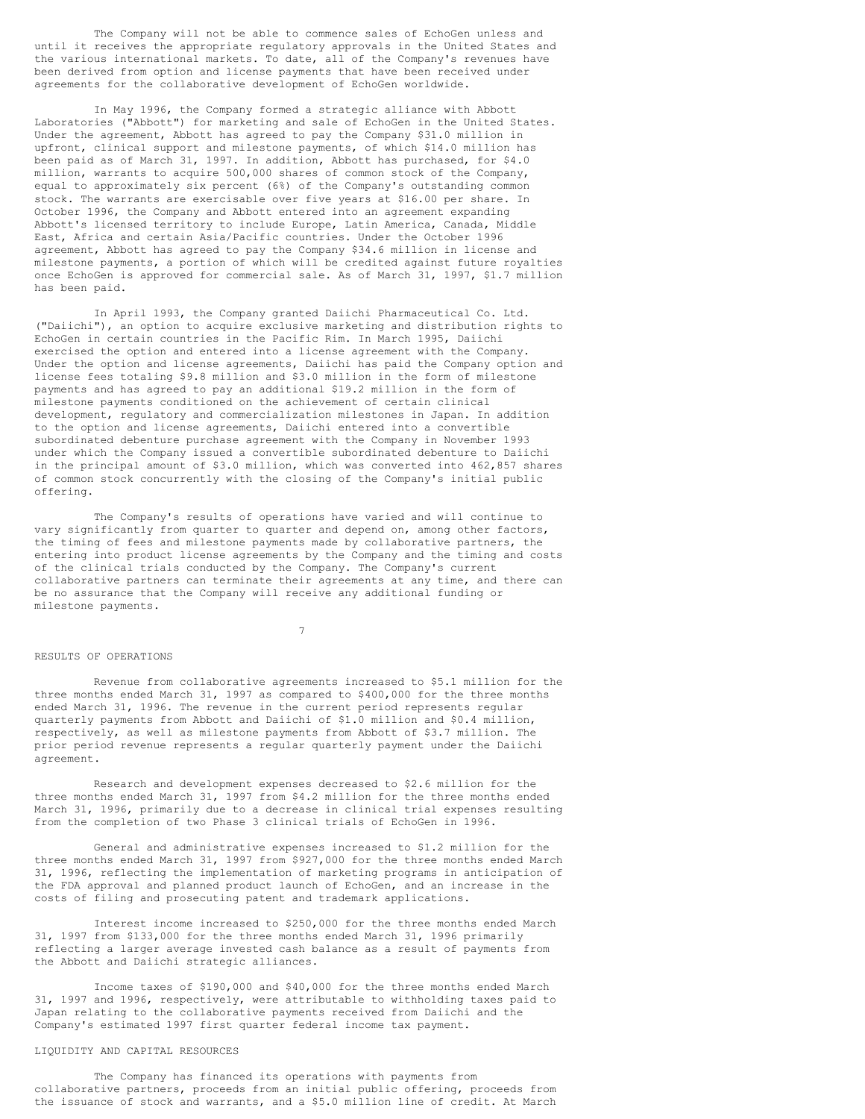The Company will not be able to commence sales of EchoGen unless and until it receives the appropriate regulatory approvals in the United States and the various international markets. To date, all of the Company's revenues have been derived from option and license payments that have been received under agreements for the collaborative development of EchoGen worldwide.

In May 1996, the Company formed a strategic alliance with Abbott Laboratories ("Abbott") for marketing and sale of EchoGen in the United States. Under the agreement, Abbott has agreed to pay the Company \$31.0 million in upfront, clinical support and milestone payments, of which \$14.0 million has been paid as of March 31, 1997. In addition, Abbott has purchased, for \$4.0 million, warrants to acquire 500,000 shares of common stock of the Company, equal to approximately six percent (6%) of the Company's outstanding common stock. The warrants are exercisable over five years at \$16.00 per share. In October 1996, the Company and Abbott entered into an agreement expanding Abbott's licensed territory to include Europe, Latin America, Canada, Middle East, Africa and certain Asia/Pacific countries. Under the October 1996 agreement, Abbott has agreed to pay the Company \$34.6 million in license and milestone payments, a portion of which will be credited against future royalties once EchoGen is approved for commercial sale. As of March 31, 1997, \$1.7 million has been paid.

In April 1993, the Company granted Daiichi Pharmaceutical Co. Ltd. ("Daiichi"), an option to acquire exclusive marketing and distribution rights to EchoGen in certain countries in the Pacific Rim. In March 1995, Daiichi exercised the option and entered into a license agreement with the Company. Under the option and license agreements, Daiichi has paid the Company option and license fees totaling \$9.8 million and \$3.0 million in the form of milestone payments and has agreed to pay an additional \$19.2 million in the form of milestone payments conditioned on the achievement of certain clinical development, regulatory and commercialization milestones in Japan. In addition to the option and license agreements, Daiichi entered into a convertible subordinated debenture purchase agreement with the Company in November 1993 under which the Company issued a convertible subordinated debenture to Daiichi in the principal amount of \$3.0 million, which was converted into 462,857 shares of common stock concurrently with the closing of the Company's initial public offering.

The Company's results of operations have varied and will continue to vary significantly from quarter to quarter and depend on, among other factors, the timing of fees and milestone payments made by collaborative partners, the entering into product license agreements by the Company and the timing and costs of the clinical trials conducted by the Company. The Company's current collaborative partners can terminate their agreements at any time, and there can be no assurance that the Company will receive any additional funding or milestone payments.

7

#### RESULTS OF OPERATIONS

Revenue from collaborative agreements increased to \$5.1 million for the three months ended March 31, 1997 as compared to \$400,000 for the three months ended March 31, 1996. The revenue in the current period represents regular quarterly payments from Abbott and Daiichi of \$1.0 million and \$0.4 million, respectively, as well as milestone payments from Abbott of \$3.7 million. The prior period revenue represents a regular quarterly payment under the Daiichi agreement.

Research and development expenses decreased to \$2.6 million for the three months ended March 31, 1997 from \$4.2 million for the three months ended March 31, 1996, primarily due to a decrease in clinical trial expenses resulting from the completion of two Phase 3 clinical trials of EchoGen in 1996.

General and administrative expenses increased to \$1.2 million for the three months ended March 31, 1997 from \$927,000 for the three months ended March 31, 1996, reflecting the implementation of marketing programs in anticipation of the FDA approval and planned product launch of EchoGen, and an increase in the costs of filing and prosecuting patent and trademark applications.

Interest income increased to \$250,000 for the three months ended March 31, 1997 from \$133,000 for the three months ended March 31, 1996 primarily reflecting a larger average invested cash balance as a result of payments from the Abbott and Daiichi strategic alliances.

Income taxes of \$190,000 and \$40,000 for the three months ended March 31, 1997 and 1996, respectively, were attributable to withholding taxes paid to Japan relating to the collaborative payments received from Daiichi and the Company's estimated 1997 first quarter federal income tax payment.

#### LIQUIDITY AND CAPITAL RESOURCES

The Company has financed its operations with payments from collaborative partners, proceeds from an initial public offering, proceeds from the issuance of stock and warrants, and a \$5.0 million line of credit. At March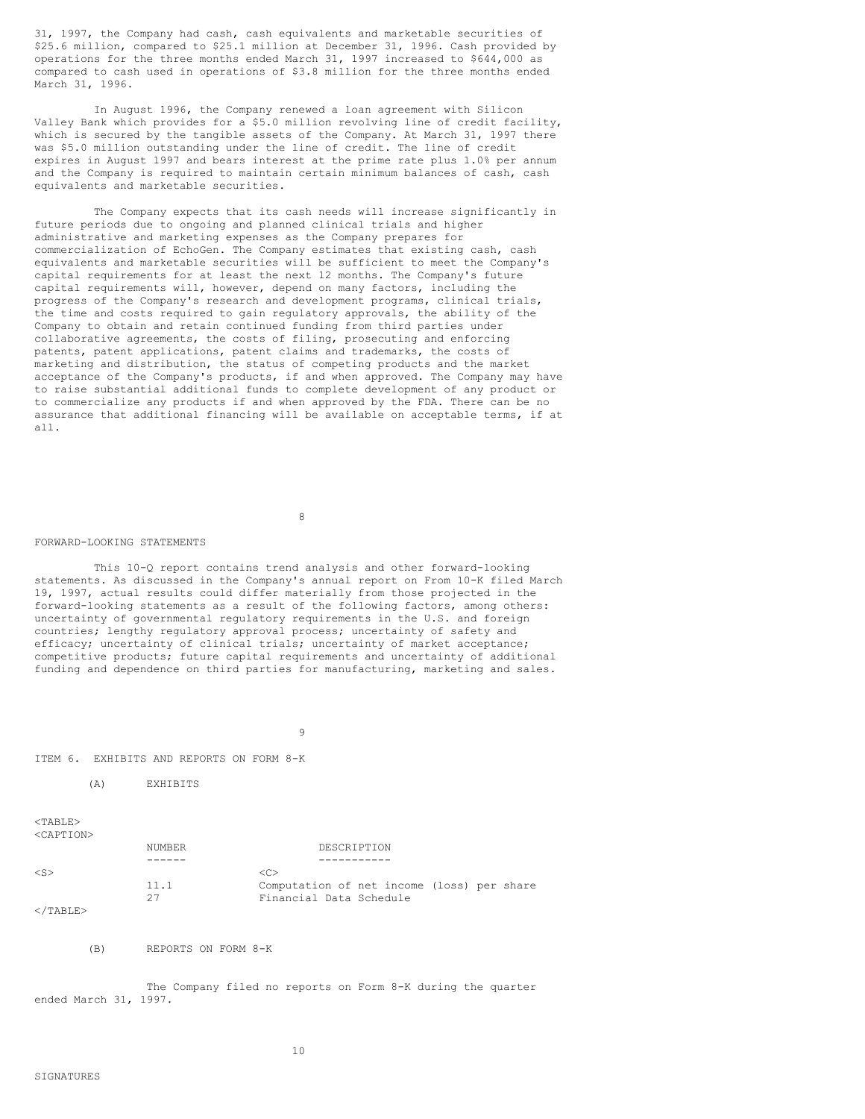31, 1997, the Company had cash, cash equivalents and marketable securities of \$25.6 million, compared to \$25.1 million at December 31, 1996. Cash provided by operations for the three months ended March 31, 1997 increased to \$644,000 as compared to cash used in operations of \$3.8 million for the three months ended March 31, 1996.

In August 1996, the Company renewed a loan agreement with Silicon Valley Bank which provides for a \$5.0 million revolving line of credit facility, which is secured by the tangible assets of the Company. At March 31, 1997 there was \$5.0 million outstanding under the line of credit. The line of credit expires in August 1997 and bears interest at the prime rate plus 1.0% per annum and the Company is required to maintain certain minimum balances of cash, cash equivalents and marketable securities.

The Company expects that its cash needs will increase significantly in future periods due to ongoing and planned clinical trials and higher administrative and marketing expenses as the Company prepares for commercialization of EchoGen. The Company estimates that existing cash, cash equivalents and marketable securities will be sufficient to meet the Company's capital requirements for at least the next 12 months. The Company's future capital requirements will, however, depend on many factors, including the progress of the Company's research and development programs, clinical trials, the time and costs required to gain regulatory approvals, the ability of the Company to obtain and retain continued funding from third parties under collaborative agreements, the costs of filing, prosecuting and enforcing patents, patent applications, patent claims and trademarks, the costs of marketing and distribution, the status of competing products and the market acceptance of the Company's products, if and when approved. The Company may have to raise substantial additional funds to complete development of any product or to commercialize any products if and when approved by the FDA. There can be no assurance that additional financing will be available on acceptable terms, if at all.

8

#### FORWARD-LOOKING STATEMENTS

This 10-Q report contains trend analysis and other forward-looking statements. As discussed in the Company's annual report on From 10-K filed March 19, 1997, actual results could differ materially from those projected in the forward-looking statements as a result of the following factors, among others: uncertainty of governmental regulatory requirements in the U.S. and foreign countries; lengthy regulatory approval process; uncertainty of safety and efficacy; uncertainty of clinical trials; uncertainty of market acceptance; competitive products; future capital requirements and uncertainty of additional funding and dependence on third parties for manufacturing, marketing and sales.

9

ITEM 6. EXHIBITS AND REPORTS ON FORM 8-K

(A) EXHIBITS

 $<$ TABLE> <CAPTION>

|                                        | NUMBER | DESCRIPTION                                |
|----------------------------------------|--------|--------------------------------------------|
|                                        |        |                                            |
| $\langle$ S>                           |        | $\langle C \rangle$                        |
|                                        | 11.1   | Computation of net income (loss) per share |
|                                        |        | Financial Data Schedule                    |
| $2$ / $m \lambda$ $n \tau$ $n \lambda$ |        |                                            |

</TABLE>

(B) REPORTS ON FORM 8-K

The Company filed no reports on Form 8-K during the quarter ended March 31, 1997.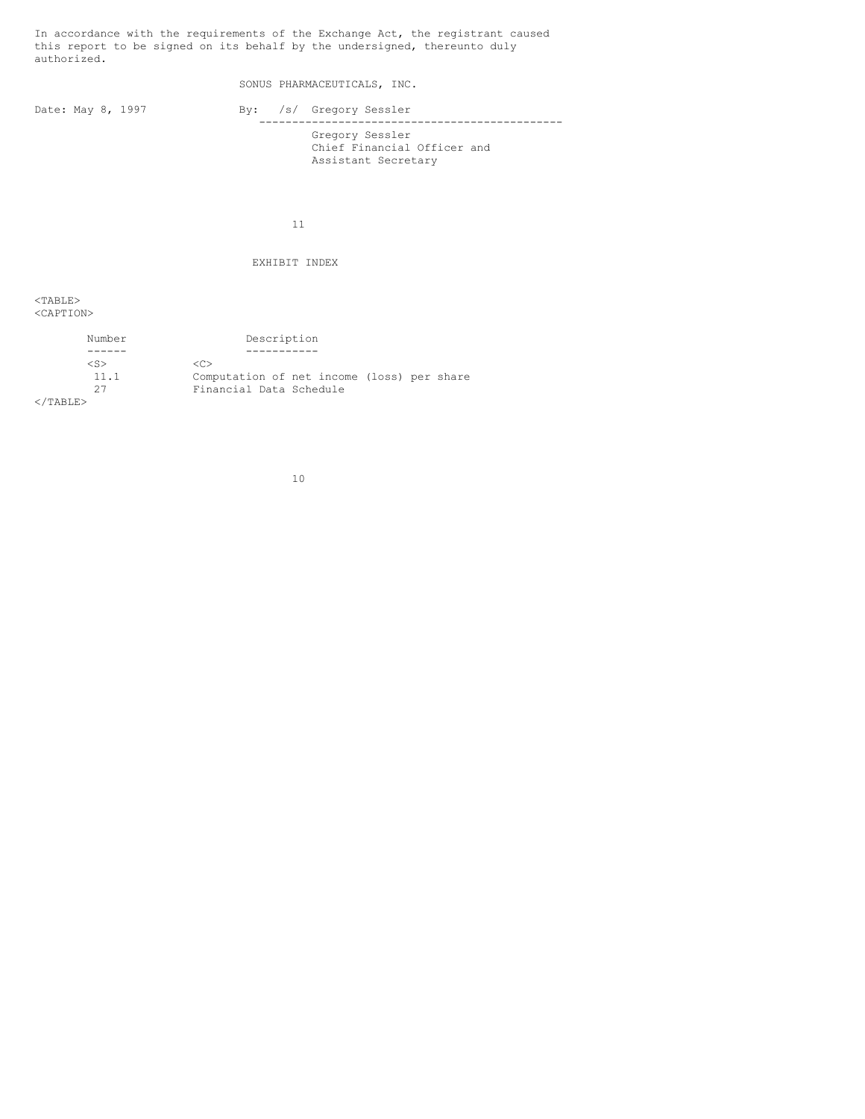In accordance with the requirements of the Exchange Act, the registrant caused this report to be signed on its behalf by the undersigned, thereunto duly authorized.

SONUS PHARMACEUTICALS, INC.

Date: May 8, 1997 By: /s/ Gregory Sessler ---------------------------------------------- Gregory Sessler Chief Financial Officer and Assistant Secretary

11

EXHIBIT INDEX

 $<$ TABLE $>$ <CAPTION>

| Number            | Description                                |
|-------------------|--------------------------------------------|
|                   |                                            |
| <s></s>           | $\langle C \rangle$                        |
| 11.1              | Computation of net income (loss) per share |
| 27                | Financial Data Schedule                    |
| $\langle$ /TABLE> |                                            |

10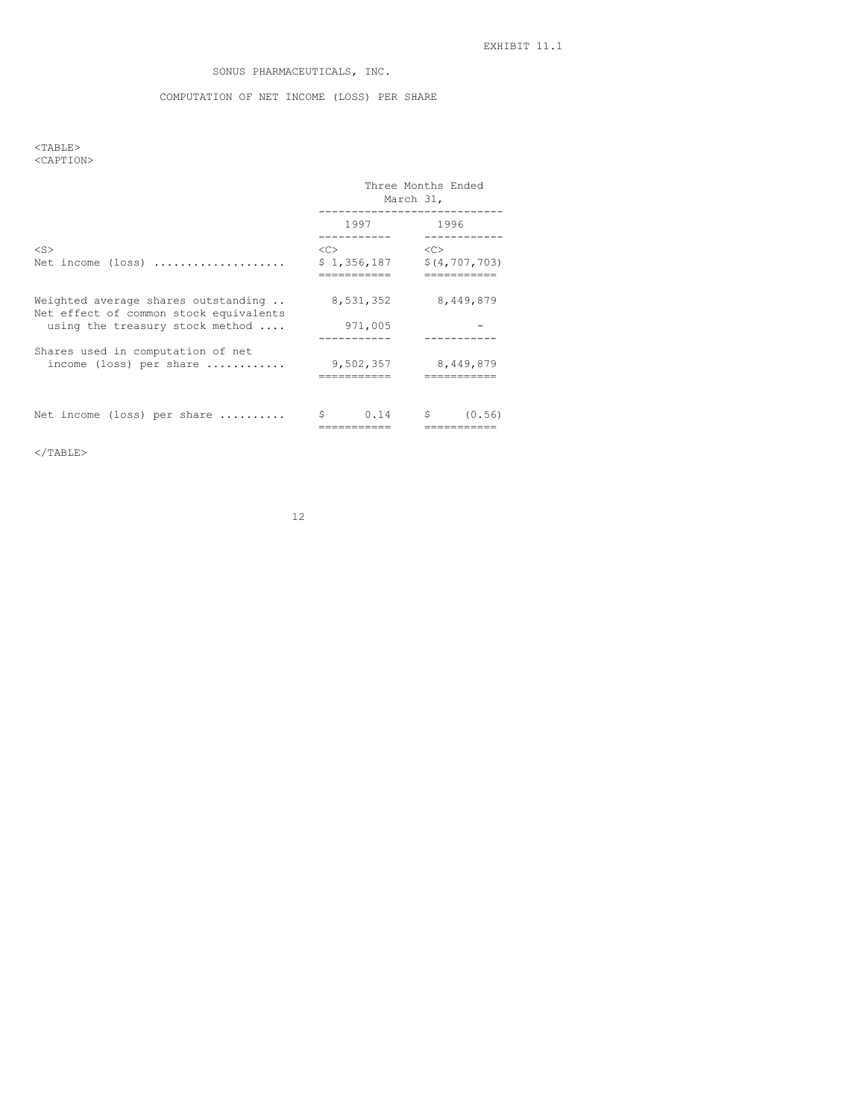# SONUS PHARMACEUTICALS, INC.

## COMPUTATION OF NET INCOME (LOSS) PER SHARE

## $<$ TABLE $>$ <CAPTION>

|                                                                                                                  | Three Months Ended<br>March 31, |                                  |
|------------------------------------------------------------------------------------------------------------------|---------------------------------|----------------------------------|
|                                                                                                                  | 1997                            | 1996                             |
| $<$ S><br>Net income $(\text{loss})$                                                                             | < <sub><br/>\$1,356,187</sub>   | <<<br>\$(4, 707, 703)<br>_______ |
| Weighted average shares outstanding<br>Net effect of common stock equivalents<br>using the treasury stock method | 8,531,352<br>971,005            | 8,449,879                        |
| Shares used in computation of net<br>income (loss) per share $\ldots, \ldots, \ldots$                            | 9,502,357                       | 8,449,879<br>--------            |
| Net income (loss) per share                                                                                      |                                 | $0.14$ \$<br>(0.56)              |

 $<$ /TABLE>

12